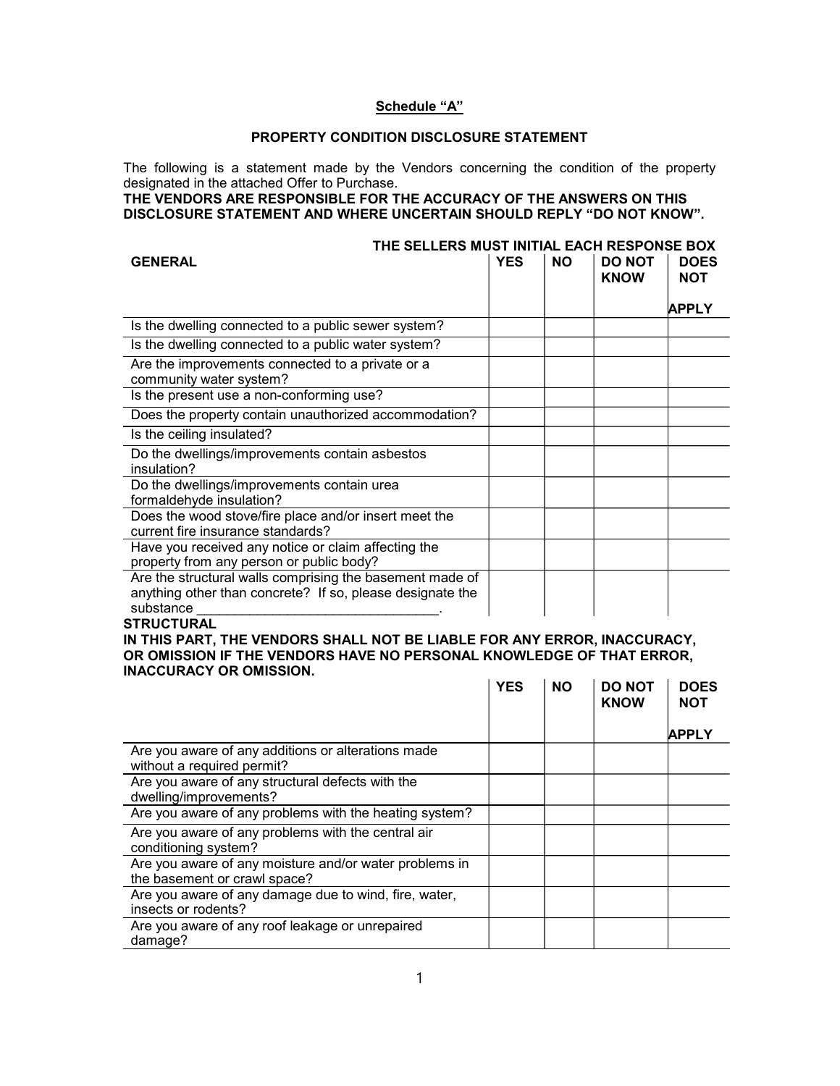## Schedule "A"

## PROPERTY CONDITION DISCLOSURE STATEMENT

The following is a statement made by the Vendors concerning the condition of the property designated in the attached Offer to Purchase.

THE VENDORS ARE RESPONSIBLE FOR THE ACCURACY OF THE ANSWERS ON THIS DISCLOSURE STATEMENT AND WHERE UNCERTAIN SHOULD REPLY "DO NOT KNOW".

|                                                                                                                                    | THE SELLERS MUST INITIAL EACH RESPONSE BOX |           |                              |                    |
|------------------------------------------------------------------------------------------------------------------------------------|--------------------------------------------|-----------|------------------------------|--------------------|
| <b>GENERAL</b>                                                                                                                     | <b>YES</b>                                 | <b>NO</b> | <b>DO NOT</b><br><b>KNOW</b> | <b>DOES</b><br>NOT |
|                                                                                                                                    |                                            |           |                              | <b>APPLY</b>       |
| Is the dwelling connected to a public sewer system?                                                                                |                                            |           |                              |                    |
| Is the dwelling connected to a public water system?                                                                                |                                            |           |                              |                    |
| Are the improvements connected to a private or a<br>community water system?                                                        |                                            |           |                              |                    |
| Is the present use a non-conforming use?                                                                                           |                                            |           |                              |                    |
| Does the property contain unauthorized accommodation?                                                                              |                                            |           |                              |                    |
| Is the ceiling insulated?                                                                                                          |                                            |           |                              |                    |
| Do the dwellings/improvements contain asbestos<br>insulation?                                                                      |                                            |           |                              |                    |
| Do the dwellings/improvements contain urea<br>formaldehyde insulation?                                                             |                                            |           |                              |                    |
| Does the wood stove/fire place and/or insert meet the<br>current fire insurance standards?                                         |                                            |           |                              |                    |
| Have you received any notice or claim affecting the<br>property from any person or public body?                                    |                                            |           |                              |                    |
| Are the structural walls comprising the basement made of<br>anything other than concrete? If so, please designate the<br>substance |                                            |           |                              |                    |

## **STRUCTURAL**

IN THIS PART, THE VENDORS SHALL NOT BE LIABLE FOR ANY ERROR, INACCURACY, OR OMISSION IF THE VENDORS HAVE NO PERSONAL KNOWLEDGE OF THAT ERROR, INACCURACY OR OMISSION.  $\mathbb{R}^n$  $\sim 10^{-1}$ 

|                                                                                        | <b>YES</b> | <b>NO</b> | <b>DO NOT</b><br><b>KNOW</b> | <b>DOES</b><br><b>NOT</b> |
|----------------------------------------------------------------------------------------|------------|-----------|------------------------------|---------------------------|
|                                                                                        |            |           |                              | <b>APPLY</b>              |
| Are you aware of any additions or alterations made<br>without a required permit?       |            |           |                              |                           |
| Are you aware of any structural defects with the<br>dwelling/improvements?             |            |           |                              |                           |
| Are you aware of any problems with the heating system?                                 |            |           |                              |                           |
| Are you aware of any problems with the central air<br>conditioning system?             |            |           |                              |                           |
| Are you aware of any moisture and/or water problems in<br>the basement or crawl space? |            |           |                              |                           |
| Are you aware of any damage due to wind, fire, water,<br>insects or rodents?           |            |           |                              |                           |
| Are you aware of any roof leakage or unrepaired<br>damage?                             |            |           |                              |                           |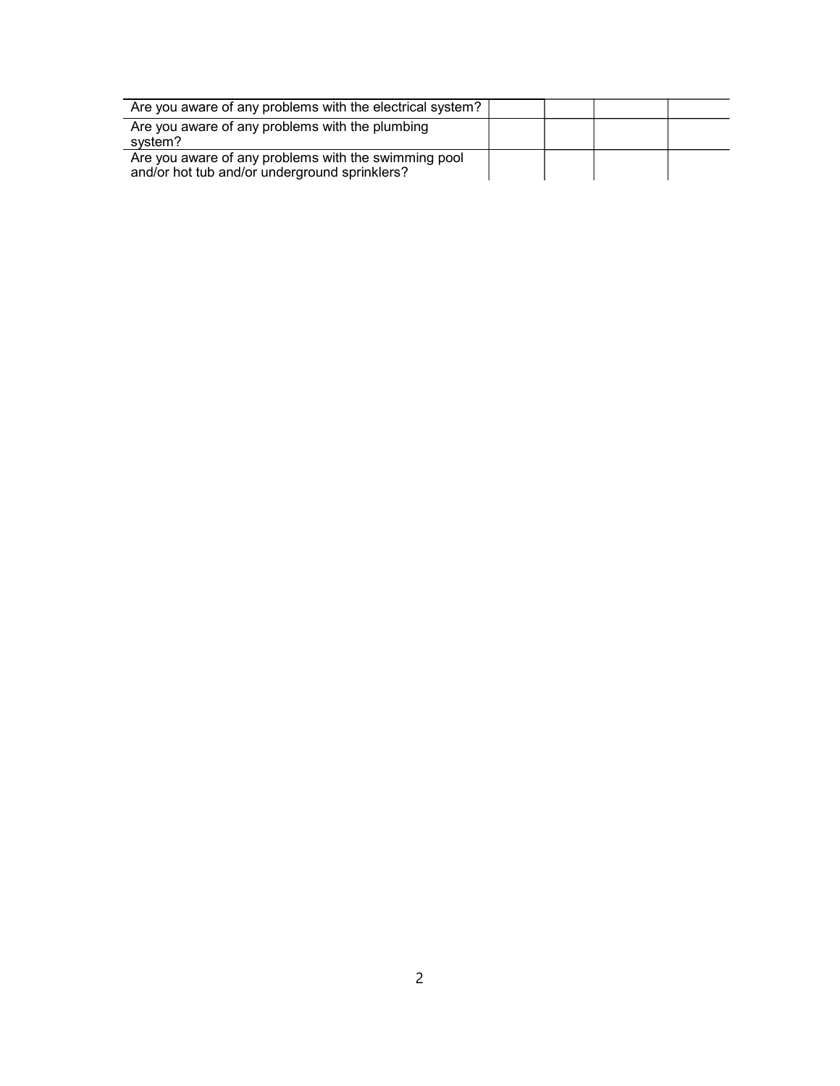| Are you aware of any problems with the electrical system?                                             |  |  |
|-------------------------------------------------------------------------------------------------------|--|--|
| Are you aware of any problems with the plumbing<br>system?                                            |  |  |
| Are you aware of any problems with the swimming pool<br>and/or hot tub and/or underground sprinklers? |  |  |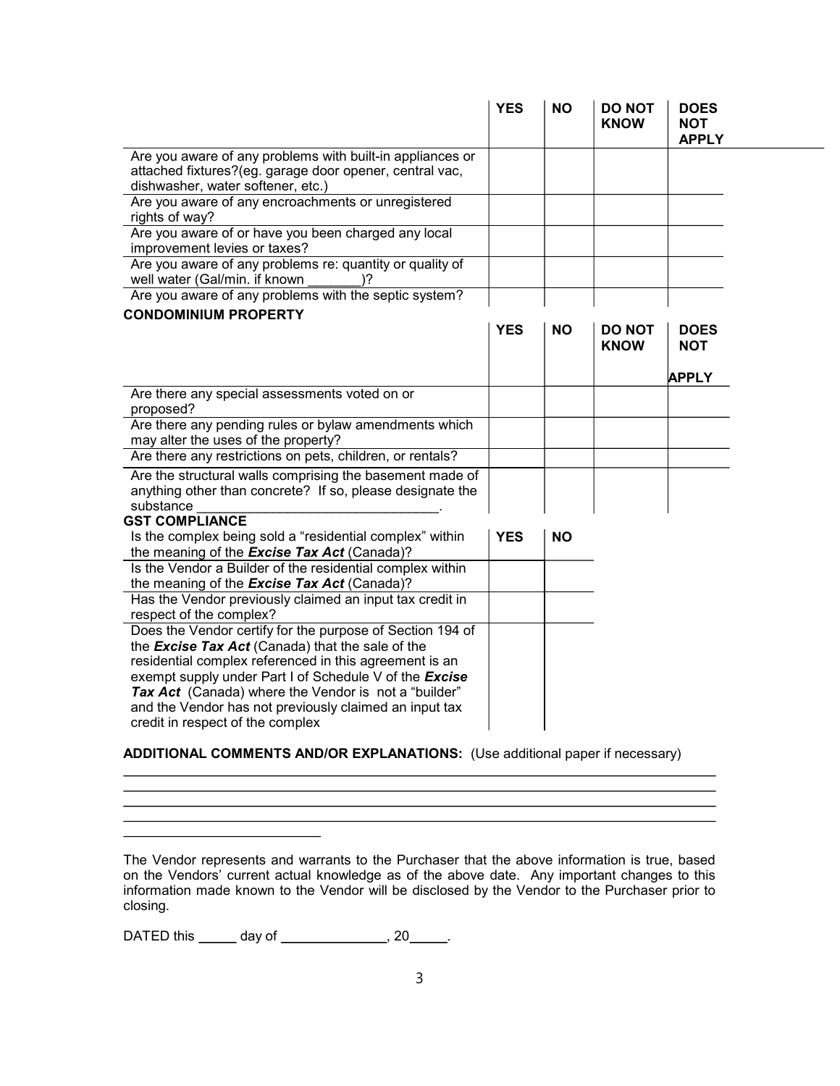|            |           | <b>KNOW</b>                  | <b>NOT</b><br><b>APPLY</b> |
|------------|-----------|------------------------------|----------------------------|
|            |           |                              |                            |
|            |           |                              |                            |
|            |           |                              |                            |
|            |           |                              |                            |
|            |           |                              |                            |
|            |           |                              |                            |
| <b>YES</b> | <b>NO</b> | <b>DO NOT</b><br><b>KNOW</b> | <b>DOES</b><br><b>NOT</b>  |
|            |           |                              | <b>APPLY</b>               |
|            |           |                              |                            |
|            |           |                              |                            |
|            |           |                              |                            |
|            |           |                              |                            |
|            |           |                              |                            |
| <b>YES</b> | <b>NO</b> |                              |                            |
|            |           |                              |                            |
|            |           |                              |                            |
|            |           |                              |                            |
|            |           |                              |                            |

## ADDITIONAL COMMENTS AND/OR EXPLANATIONS: (Use additional paper if necessary)

The Vendor represents and warrants to the Purchaser that the above information is true, based on the Vendors' current actual knowledge as of the above date. Any important changes to this information made known to the Vendor will be disclosed by the Vendor to the Purchaser prior to closing.

DATED this  $\frac{1}{2}$  day of  $\frac{1}{2}$  . 20  $\frac{1}{2}$